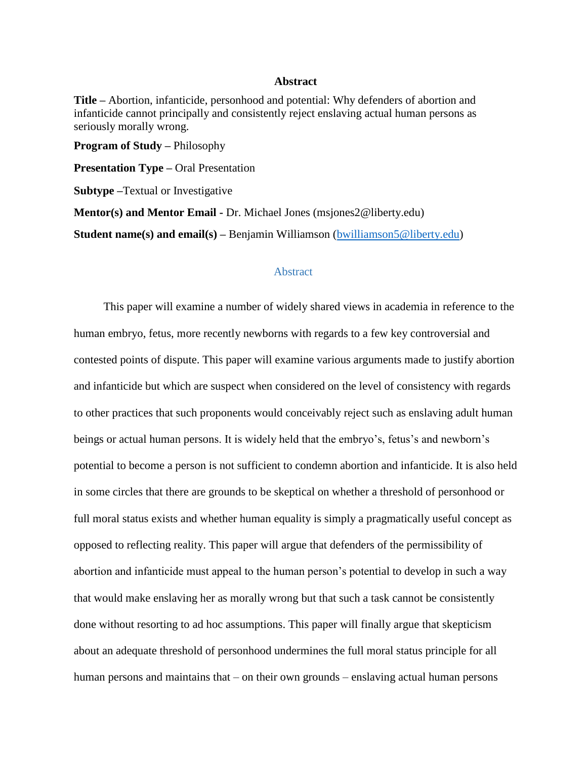## **Abstract**

**Title –** Abortion, infanticide, personhood and potential: Why defenders of abortion and infanticide cannot principally and consistently reject enslaving actual human persons as seriously morally wrong.

**Program of Study –** Philosophy

**Presentation Type –** Oral Presentation

**Subtype –**Textual or Investigative

**Mentor(s) and Mentor Email -** Dr. Michael Jones (msjones2@liberty.edu)

**Student name(s) and email(s)** – Benjamin Williamson [\(bwilliamson5@liberty.edu\)](mailto:bwilliamson5@liberty.edu)

## **Abstract**

This paper will examine a number of widely shared views in academia in reference to the human embryo, fetus, more recently newborns with regards to a few key controversial and contested points of dispute. This paper will examine various arguments made to justify abortion and infanticide but which are suspect when considered on the level of consistency with regards to other practices that such proponents would conceivably reject such as enslaving adult human beings or actual human persons. It is widely held that the embryo's, fetus's and newborn's potential to become a person is not sufficient to condemn abortion and infanticide. It is also held in some circles that there are grounds to be skeptical on whether a threshold of personhood or full moral status exists and whether human equality is simply a pragmatically useful concept as opposed to reflecting reality. This paper will argue that defenders of the permissibility of abortion and infanticide must appeal to the human person's potential to develop in such a way that would make enslaving her as morally wrong but that such a task cannot be consistently done without resorting to ad hoc assumptions. This paper will finally argue that skepticism about an adequate threshold of personhood undermines the full moral status principle for all human persons and maintains that – on their own grounds – enslaving actual human persons